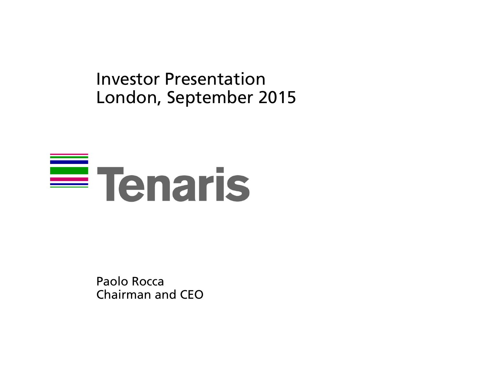Investor PresentationLondon, September 2015

# $\equiv$  Tenaris

Paolo RoccaChairman and CEO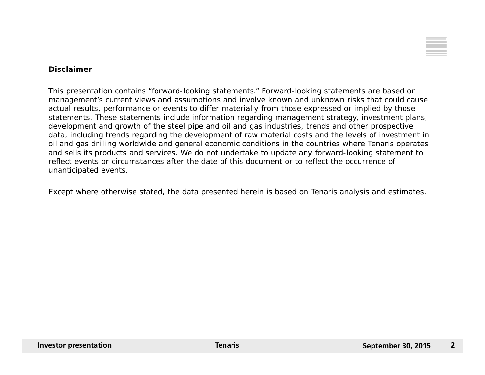

#### **Disclaimer**

This presentation contains "forward-looking statements." Forward-looking statements are based on management's current views and assumptions and involve known and unknown risks that could cause actual results, performance or events to differ materially from those expressed or implied by those statements. These statements include information regarding management strategy, investment plans, development and growth of the steel pipe and oil and gas industries, trends and other prospective data, including trends regarding the development of raw material costs and the levels of investment in oil and gas drilling worldwide and general economic conditions in the countries where Tenaris operates and sells its products and services. We do not undertake to update any forward-looking statement to reflect events or circumstances after the date of this document or to reflect the occurrence of unanticipated events.

Except where otherwise stated, the data presented herein is based on Tenaris analysis and estimates.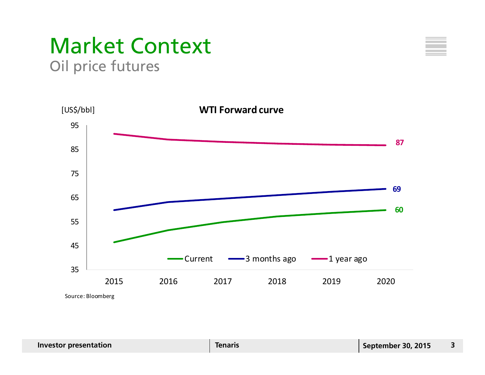## Market Context Oil price futures



**606987**354555 65758595 2015 2016 2017 2018 2019 2020Source: Bloomberg **WTI Forward curve** Current 3 months ago 1 year ago [US\$/bbl]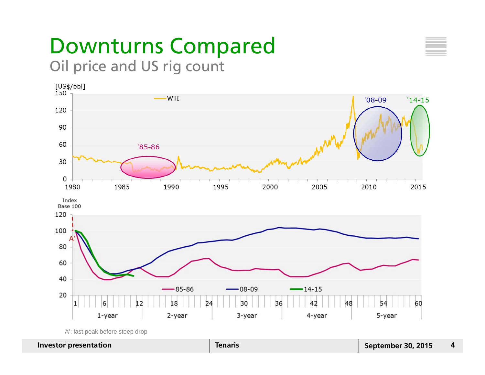## Downturns Compared Oil price and US rig count



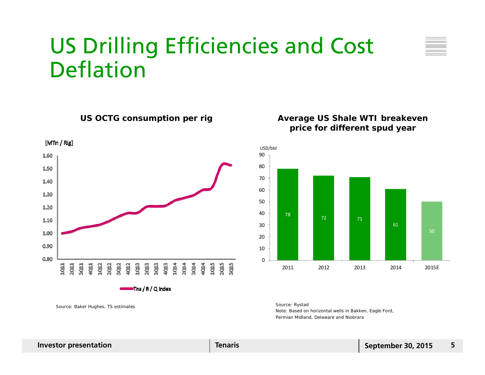# US Drilling Efficiencies and Cost Deflation





∍Tns / R / Q index

*Source: Baker Hughes, TS estimates Source: Rystad*

**US OCTG consumption per rig Average US Shale WTI breakeven price for different spud year**



*Note: Based on horizontal wells in Bakken, Eagle Ford, Permian Midland, Delaware and Niobrara*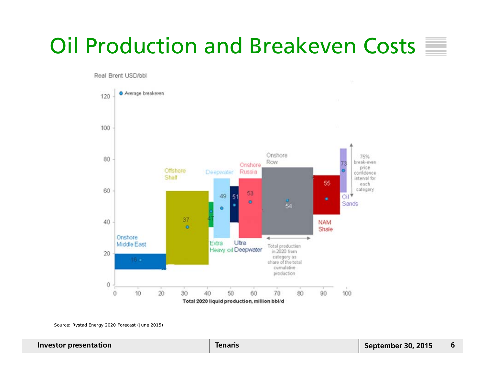# Oil Production and Breakeven Costs

Real Brent USD/bbl



*Source: Rystad Energy 2020 Forecast (June 2015)*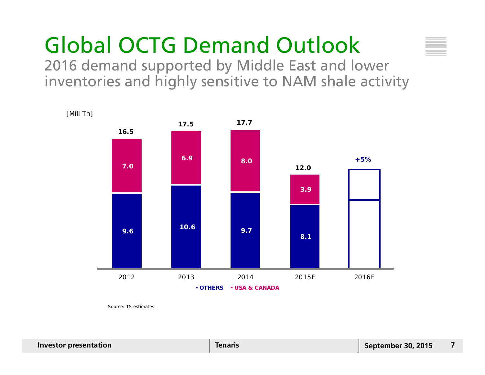# Global OCTG Demand Outlook

2016 demand supported by Middle East and lower inventories and highly sensitive to NAM shale activity



*Source: TS estimates*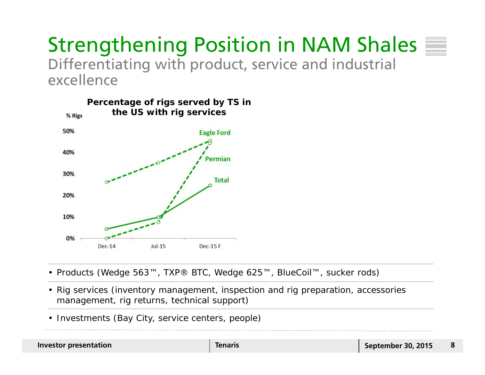### Strengthening Position in NAM Shales Differentiating with product, service and industrial excellence



- Products (Wedge 563™, TXP® BTC, Wedge 625™, BlueCoil™, sucker rods)
- Rig services (inventory management, inspection and rig preparation, accessories management, rig returns, technical support)
- Investments (Bay City, service centers, people)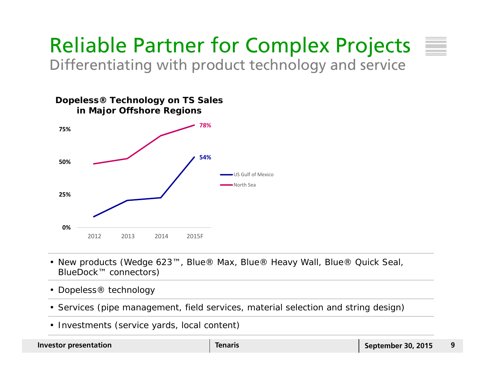

**54%78% 0%25%50%75%**2012 2013 2014 2015F US Gulf of MexicoNorth Sea **Dopeless® Technology on TS Sales in Major Offshore Regions**

- New products (Wedge 623™, Blue® Max, Blue® Heavy Wall, Blue® Quick Seal, BlueDock™ connectors)
- Dopeless® technology
- Services (pipe management, field services, material selection and string design)
- Investments (service yards, local content)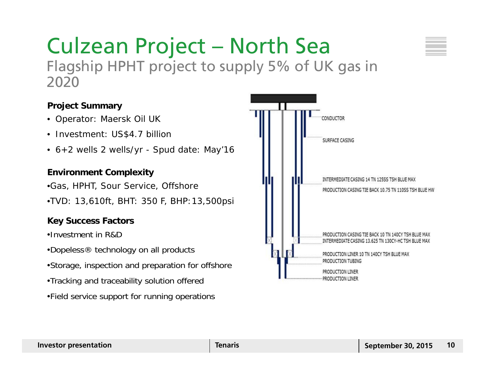#### Culzean Project – North Sea Flagship HPHT project to supply 5% of UK gas in 2020

#### **Project Summary**

- Operator: Maersk Oil UK
- Investment: US\$4.7 billion
- 6+2 wells 2 wells/yr Spud date: May'16

#### **Environment Complexity**

•Gas, HPHT, Sour Service, Offshore

•TVD: 13,610ft, BHT: 350 F, BHP:13,500psi

#### **Key Success Factors**

•Investment in R&D

- •Dopeless® technology on all products
- •Storage, inspection and preparation for offshore
- •Tracking and traceability solution offered
- •Field service support for running operations

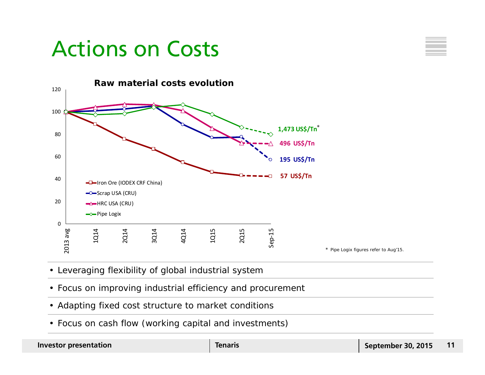# Actions on Costs





- Leveraging flexibility of global industrial system
- Focus on improving industrial efficiency and procurement
- Adapting fixed cost structure to market conditions
- Focus on cash flow (working capital and investments)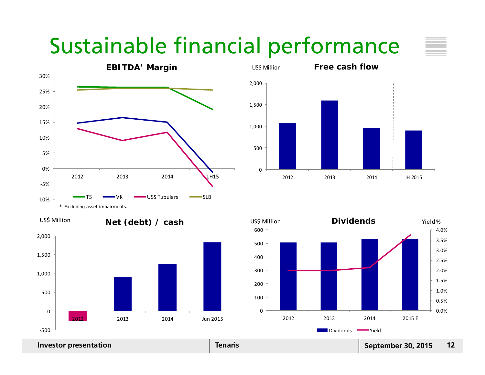# Sustainable financial performance



2012 2013 2014

**Net (debt) / cash** US\$ Million **Net (debt) / cash**

05001,000 1,500 2,000 2012 2013 2014 **IH 2015 Free cash flow** US\$ Million **Free cash flow**



‐500

0

500

1,000

1,500

2,000

Jun 2015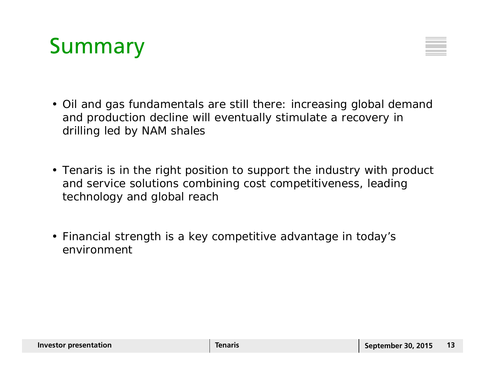# Summary



- Oil and gas fundamentals are still there: increasing global demand and production decline will eventually stimulate a recovery in drilling led by NAM shales
- Tenaris is in the right position to support the industry with product and service solutions combining cost competitiveness, leading technology and global reach
- Financial strength is a key competitive advantage in today's environment